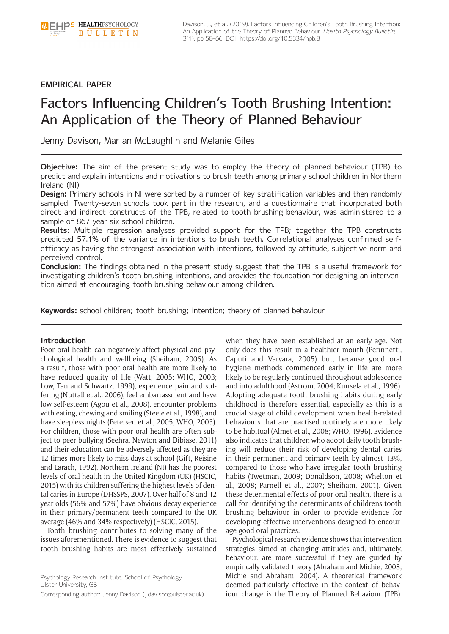# **EMPIRICAL PAPER**

# Factors Influencing Children's Tooth Brushing Intention: An Application of the Theory of Planned Behaviour

Jenny Davison, Marian McLaughlin and Melanie Giles

**Objective:** The aim of the present study was to employ the theory of planned behaviour (TPB) to predict and explain intentions and motivations to brush teeth among primary school children in Northern Ireland (NI).

**Design:** Primary schools in NI were sorted by a number of key stratification variables and then randomly sampled. Twenty-seven schools took part in the research, and a questionnaire that incorporated both direct and indirect constructs of the TPB, related to tooth brushing behaviour, was administered to a sample of 867 year six school children.

**Results:** Multiple regression analyses provided support for the TPB; together the TPB constructs predicted 57.1% of the variance in intentions to brush teeth. Correlational analyses confirmed selfefficacy as having the strongest association with intentions, followed by attitude, subjective norm and perceived control.

**Conclusion:** The findings obtained in the present study suggest that the TPB is a useful framework for investigating children's tooth brushing intentions, and provides the foundation for designing an intervention aimed at encouraging tooth brushing behaviour among children.

**Keywords:** school children; tooth brushing; intention; theory of planned behaviour

# **Introduction**

Poor oral health can negatively affect physical and psychological health and wellbeing (Sheiham, 2006). As a result, those with poor oral health are more likely to have reduced quality of life (Watt, 2005; WHO, 2003; Low, Tan and Schwartz, 1999), experience pain and suffering (Nuttall et al., 2006), feel embarrassment and have low self-esteem (Agou et al., 2008), encounter problems with eating, chewing and smiling (Steele et al., 1998), and have sleepless nights (Petersen et al., 2005; WHO, 2003). For children, those with poor oral health are often subject to peer bullying (Seehra, Newton and Dibiase, 2011) and their education can be adversely affected as they are 12 times more likely to miss days at school (Gift, Reisine and Larach, 1992). Northern Ireland (NI) has the poorest levels of oral health in the United Kingdom (UK) (HSCIC, 2015) with its children suffering the highest levels of dental caries in Europe (DHSSPS, 2007). Over half of 8 and 12 year olds (56% and 57%) have obvious decay experience in their primary/permanent teeth compared to the UK average (46% and 34% respectively) (HSCIC, 2015).

Tooth brushing contributes to solving many of the issues aforementioned. There is evidence to suggest that tooth brushing habits are most effectively sustained

Psychology Research Institute, School of Psychology, Ulster University, GB

Corresponding author: Jenny Davison ([j.davison@ulster.ac.uk\)](mailto:j.davison@ulster.ac.uk)

when they have been established at an early age. Not only does this result in a healthier mouth (Perinnetti, Caputi and Varvara, 2005) but, because good oral hygiene methods commenced early in life are more likely to be regularly continued throughout adolescence and into adulthood (Astrom, 2004; Kuusela et al., 1996). Adopting adequate tooth brushing habits during early childhood is therefore essential, especially as this is a crucial stage of child development when health-related behaviours that are practised routinely are more likely to be habitual (Almet et al., 2008; WHO, 1996). Evidence also indicates that children who adopt daily tooth brushing will reduce their risk of developing dental caries in their permanent and primary teeth by almost 13%, compared to those who have irregular tooth brushing habits (Twetman, 2009; Donaldson, 2008; Whelton et al., 2008; Parnell et al., 2007; Sheiham, 2001). Given these deterimental effects of poor oral health, there is a call for identifying the determinants of childrens tooth brushing behaviour in order to provide evidence for developing effective interventions designed to encourage good oral practices.

Psychological research evidence shows that intervention strategies aimed at changing attitudes and, ultimately, behaviour, are more successful if they are guided by empirically validated theory (Abraham and Michie, 2008; Michie and Abraham, 2004). A theoretical framework deemed particularly effective in the context of behaviour change is the Theory of Planned Behaviour (TPB).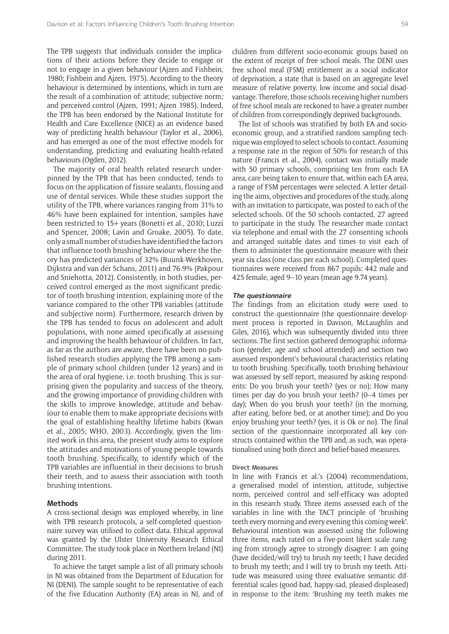The TPB suggests that individuals consider the implications of their actions before they decide to engage or not to engage in a given behaviour (Ajzen and Fishbein, 1980; Fishbein and Ajzen, 1975). According to the theory behaviour is determined by intentions, which in turn are the result of a combination of: attitude; subjective norm*;*  and perceived control (Ajzen, 1991; Ajzen 1985). Indeed, the TPB has been endorsed by the National Institute for Health and Care Excellence (NICE) as an evidence based way of predicting health behaviour (Taylor et al., 2006), and has emerged as one of the most effective models for understanding, predicting and evaluating health-related behaviours (Ogden, 2012).

The majority of oral health related research underpinned by the TPB that has been conducted, tends to focus on the application of fissure sealants, flossing and use of dental services. While these studies support the utility of the TPB, where variances ranging from 31% to 46% have been explained for intention, samples have been restricted to 15+ years (Bonetti et al., 2010; Luzzi and Spencer, 2008; Lavin and Groake, 2005). To date, only a small number of studies have identified the factors that influence tooth brushing behaviour where the theory has predicted variances of 32% (Buunk-Werkhoven, Dijkstra and van der Schans, 2011) and 76.9% (Pakpour and Sniehotta, 2012). Consistently, in both studies, perceived control emerged as the most significant predictor of tooth brushing intention, explaining more of the variance compared to the other TPB variables (attitude and subjective norm). Furthermore, research driven by the TPB has tended to focus on adolescent and adult populations, with none aimed specifically at assessing and improving the health behaviour of children. In fact, as far as the authors are aware, there have been no published research studies applying the TPB among a sample of primary school children (under 12 years) and in the area of oral hygiene, i.e. tooth brushing. This is surprising given the popularity and success of the theory, and the growing importance of providing children with the skills to improve knowledge, attitude and behaviour to enable them to make appropriate decisions with the goal of establishing healthy lifetime habits (Kwan et al., 2005; WHO, 2003). Accordingly, given the limited work in this area, the present study aims to explore the attitudes and motivations of young people towards tooth brushing. Specifically, to identify which of the TPB variables are influential in their decisions to brush their teeth, and to assess their association with tooth brushing intentions.

## **Methods**

A cross-sectional design was employed whereby, in line with TPB research protocols, a self-completed questionnaire survey was utilised to collect data. Ethical approval was granted by the Ulster University Research Ethical Committee. The study took place in Northern Ireland (NI) during 2011.

To achieve the target sample a list of all primary schools in NI was obtained from the Department of Education for NI (DENI). The sample sought to be representative of each of the five Education Authority (EA) areas in NI, and of children from different socio-economic groups based on the extent of receipt of free school meals. The DENI uses free school meal (FSM) entitlement as a social indicator of deprivation, a state that is based on an aggregate level measure of relative poverty, low income and social disadvantage. Therefore, those schools receiving higher numbers of free school meals are reckoned to have a greater number of children from correspondingly deprived backgrounds.

The list of schools was stratified by both EA and socioeconomic group, and a stratified random sampling technique was employed to select schools to contact. Assuming a response rate in the region of 50% for research of this nature (Francis et al., 2004), contact was initially made with 50 primary schools, comprising ten from each EA area, care being taken to ensure that, within each EA area, a range of FSM percentages were selected. A letter detailing the aims, objectives and procedures of the study, along with an invitation to participate, was posted to each of the selected schools. Of the 50 schools contacted, 27 agreed to participate in the study. The researcher made contact via telephone and email with the 27 consenting schools and arranged suitable dates and times to visit each of them to administer the questionnaire measure with their year six class (one class per each school). Completed questionnaires were received from 867 pupils: 442 male and 425 female, aged 9–10 years (mean age 9.74 years).

### **The questionnaire**

The findings from an elicitation study were used to construct the questionnaire (the questionnaire development process is reported in Davison, McLaughlin and Giles, 2016), which was subsequently divided into three sections. The first section gathered demographic information (gender, age and school attended) and section two assessed respondent's behavioural characteristics relating to tooth brushing. Specifically, tooth brushing behaviour was assessed by self-report, measured by asking respondents: Do you brush your teeth? (yes or no); How many times per day do you brush your teeth? (0–4 times per day); When do you brush your teeth? (in the morning, after eating, before bed, or at another time); and Do you enjoy brushing your teeth? (yes, it is Ok or no). The final section of the questionnaire incorporated all key constructs contained within the TPB and, as such, was operationalised using both direct and belief-based measures.

#### Direct Measures

In line with Francis et al.'s (2004) recommendations, a generalised model of intention, attitude, subjective norm, perceived control and self-efficacy was adopted in this research study. Three items assessed each of the variables in line with the TACT principle of 'brushing teeth every morning and every evening this coming week'. Behavioural intention was assessed using the following three items, each rated on a five-point likert scale ranging from strongly agree to strongly disagree: I am going (have decided/will try) to brush my teeth; I have decided to brush my teeth; and I will try to brush my teeth. Attitude was measured using three evaluative semantic differential scales (good-bad, happy-sad, pleased-displeased) in response to the item: 'Brushing my teeth makes me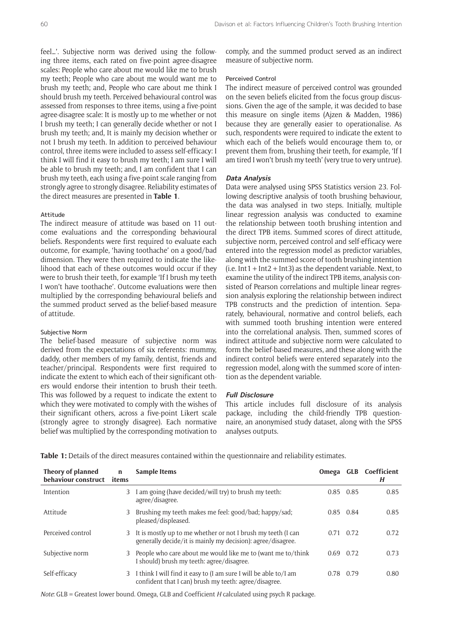feel…'. Subjective norm was derived using the following three items, each rated on five-point agree-disagree scales: People who care about me would like me to brush my teeth; People who care about me would want me to brush my teeth; and, People who care about me think I should brush my teeth. Perceived behavioural control was assessed from responses to three items, using a five-point agree-disagree scale: It is mostly up to me whether or not I brush my teeth; I can generally decide whether or not I brush my teeth; and, It is mainly my decision whether or not I brush my teeth. In addition to perceived behaviour control, three items were included to assess self-efficacy: I think I will find it easy to brush my teeth; I am sure I will be able to brush my teeth; and, I am confident that I can brush my teeth, each using a five-point scale ranging from strongly agree to strongly disagree. Reliability estimates of the direct measures are presented in **Table 1**.

# Attitude

The indirect measure of attitude was based on 11 outcome evaluations and the corresponding behavioural beliefs. Respondents were first required to evaluate each outcome, for example, 'having toothache' on a good/bad dimension. They were then required to indicate the likelihood that each of these outcomes would occur if they were to brush their teeth, for example 'If I brush my teeth I won't have toothache'. Outcome evaluations were then multiplied by the corresponding behavioural beliefs and the summed product served as the belief-based measure of attitude.

# Subjective Norm

The belief-based measure of subjective norm was derived from the expectations of six referents: mummy, daddy, other members of my family, dentist, friends and teacher/principal. Respondents were first required to indicate the extent to which each of their significant others would endorse their intention to brush their teeth. This was followed by a request to indicate the extent to which they were motivated to comply with the wishes of their significant others, across a five-point Likert scale (strongly agree to strongly disagree). Each normative belief was multiplied by the corresponding motivation to

comply, and the summed product served as an indirect measure of subjective norm.

# Perceived Control

The indirect measure of perceived control was grounded on the seven beliefs elicited from the focus group discussions. Given the age of the sample, it was decided to base this measure on single items (Ajzen & Madden, 1986) because they are generally easier to operationalise. As such, respondents were required to indicate the extent to which each of the beliefs would encourage them to, or prevent them from, brushing their teeth, for example, 'If I am tired I won't brush my teeth' (very true to very untrue).

# **Data Analysis**

Data were analysed using SPSS Statistics version 23. Following descriptive analysis of tooth brushing behaviour, the data was analysed in two steps. Initially, multiple linear regression analysis was conducted to examine the relationship between tooth brushing intention and the direct TPB items. Summed scores of direct attitude, subjective norm, perceived control and self-efficacy were entered into the regression model as predictor variables, along with the summed score of tooth brushing intention (i.e.  $Int1 + Int2 + Int3$ ) as the dependent variable. Next, to examine the utility of the indirect TPB items, analysis consisted of Pearson correlations and multiple linear regression analysis exploring the relationship between indirect TPB constructs and the prediction of intention. Separately, behavioural, normative and control beliefs, each with summed tooth brushing intention were entered into the correlational analysis. Then, summed scores of indirect attitude and subjective norm were calculated to form the belief-based measures, and these along with the indirect control beliefs were entered separately into the regression model, along with the summed score of intention as the dependent variable.

#### **Full Disclosure**

This article includes full disclosure of its analysis package, including the child-friendly TPB questionnaire, an anonymised study dataset, along with the SPSS analyses outputs.

|  |  |  | Table 1: Details of the direct measures contained within the questionnaire and reliability estimates. |  |  |  |  |  |  |  |
|--|--|--|-------------------------------------------------------------------------------------------------------|--|--|--|--|--|--|--|
|--|--|--|-------------------------------------------------------------------------------------------------------|--|--|--|--|--|--|--|

| Theory of planned<br>behaviour construct | n<br>items | Sample Items                                                                                                                | Omega     |             | <b>GLB</b> Coefficient<br>H |
|------------------------------------------|------------|-----------------------------------------------------------------------------------------------------------------------------|-----------|-------------|-----------------------------|
| Intention                                | 3          | I am going (have decided/will try) to brush my teeth:<br>agree/disagree.                                                    |           | $0.85$ 0.85 | 0.85                        |
| Attitude                                 | 3          | Brushing my teeth makes me feel: good/bad; happy/sad;<br>pleased/displeased.                                                | 0.85      | 0.84        | 0.85                        |
| Perceived control                        | 3          | It is mostly up to me whether or not I brush my teeth (I can<br>generally decide/it is mainly my decision): agree/disagree. | 0.71      | 0.72        | 0.72                        |
| Subjective norm                          | 3          | People who care about me would like me to (want me to/think<br>I should) brush my teeth: agree/disagree.                    | 0.69      | 0.72        | 0.73                        |
| Self-efficacy                            | 3          | I think I will find it easy to (I am sure I will be able to/I am<br>confident that I can) brush my teeth: agree/disagree.   | 0.78 0.79 |             | 0.80                        |

*Note*: GLB = Greatest lower bound. Omega, GLB and Coefficient *H* calculated using psych R package.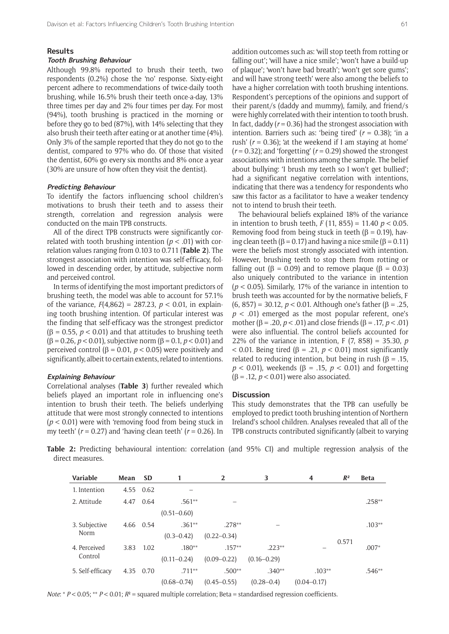#### **Results**

## **Tooth Brushing Behaviour**

Although 99.8% reported to brush their teeth, two respondents (0.2%) chose the 'no' response. Sixty-eight percent adhere to recommendations of twice-daily tooth brushing, while 16.5% brush their teeth once-a-day, 13% three times per day and 2% four times per day. For most (94%), tooth brushing is practiced in the morning or before they go to bed (87%), with 14% selecting that they also brush their teeth after eating or at another time (4%). Only 3% of the sample reported that they do not go to the dentist, compared to 97% who do. Of those that visited the dentist, 60% go every six months and 8% once a year (30% are unsure of how often they visit the dentist).

# **Predicting Behaviour**

To identify the factors influencing school children's motivations to brush their teeth and to assess their strength, correlation and regression analysis were conducted on the main TPB constructs.

All of the direct TPB constructs were significantly correlated with tooth brushing intention  $(p < .01)$  with correlation values ranging from 0.103 to 0.711 (**Table 2**). The strongest association with intention was self-efficacy, followed in descending order, by attitude, subjective norm and perceived control.

In terms of identifying the most important predictors of brushing teeth, the model was able to account for 57.1% of the variance,  $F(4,862) = 287.23$ ,  $p < 0.01$ , in explaining tooth brushing intention. Of particular interest was the finding that self-efficacy was the strongest predictor ( $\beta$  = 0.55, *p* < 0.01) and that attitudes to brushing teeth (β = 0.26, *p* < 0.01), subjective norm (β = 0.1, *p* < 0.01) and perceived control (β = 0.01, *p* < 0.05) were positively and significantly, albeit to certain extents, related to intentions.

# **Explaining Behaviour**

Correlational analyses (**Table 3**) further revealed which beliefs played an important role in influencing one's intention to brush their teeth. The beliefs underlying attitude that were most strongly connected to intentions (*p* < 0.01) were with 'removing food from being stuck in my teeth' (*r* = 0.27) and 'having clean teeth' (*r* = 0.26). In

addition outcomes such as: 'will stop teeth from rotting or falling out'; 'will have a nice smile'; 'won't have a build-up of plaque'; 'won't have bad breath'; 'won't get sore gums'; and will have strong teeth' were also among the beliefs to have a higher correlation with tooth brushing intentions. Respondent's perceptions of the opinions and support of their parent/s (daddy and mummy), family, and friend/s were highly correlated with their intention to tooth brush. In fact, daddy (*r* = 0.36) had the strongest association with intention. Barriers such as: 'being tired' (*r* = 0.38); 'in a rush' (*r* = 0.36); 'at the weekend if I am staying at home'  $(r = 0.32)$ ; and 'forgetting'  $(r = 0.29)$  showed the strongest associations with intentions among the sample. The belief about bullying: 'I brush my teeth so I won't get bullied'; had a significant negative correlation with intentions, indicating that there was a tendency for respondents who saw this factor as a facilitator to have a weaker tendency not to intend to brush their teeth.

The behavioural beliefs explained 18% of the variance in intention to brush teeth, *F* (11, 855) = 11.40 *p* < 0.05. Removing food from being stuck in teeth ( $\beta$  = 0.19), having clean teeth ( $\beta$  = 0.17) and having a nice smile ( $\beta$  = 0.11) were the beliefs most strongly associated with intention. However, brushing teeth to stop them from rotting or falling out ( $\beta = 0.09$ ) and to remove plaque ( $\beta = 0.03$ ) also uniquely contributed to the variance in intention (*p* < 0.05). Similarly, 17% of the variance in intention to brush teeth was accounted for by the normative beliefs, F (6, 857) = 30.12, *p* < 0.01. Although one's father (β = .25,  $p < .01$ ) emerged as the most popular referent, one's mother (β = .20, *p* < .01) and close friends (β = .17, *p* < .01) were also influential. The control beliefs accounted for 22% of the variance in intention, F (7, 858) = 35.30, *p*  $<$  0.01. Being tired ( $\beta$  = .21,  $p$  < 0.01) most significantly related to reducing intention, but being in rush ( $\beta = 0.15$ , *p* < 0.01), weekends (β = .15, *p* < 0.01) and forgetting  $(β = .12, p < 0.01)$  were also associated.

#### **Discussion**

This study demonstrates that the TPB can usefully be employed to predict tooth brushing intention of Northern Ireland's school children. Analyses revealed that all of the TPB constructs contributed significantly (albeit to varying

**Table 2:** Predicting behavioural intention: correlation (and 95% CI) and multiple regression analysis of the direct measures.

| <b>Variable</b>         | Mean | <b>SD</b> | 1               | $\overline{2}$  | 3               | 4               | $R^2$ | <b>Beta</b> |
|-------------------------|------|-----------|-----------------|-----------------|-----------------|-----------------|-------|-------------|
| 1. Intention            | 4.55 | 0.62      |                 |                 |                 |                 |       |             |
| 2. Attitude             | 4.47 | 0.64      | $.561**$        |                 |                 |                 |       | $.258**$    |
|                         |      |           | $(0.51 - 0.60)$ |                 |                 |                 |       |             |
| 3. Subjective<br>Norm   | 4.66 | 0.54      | $.361**$        | $.278**$        |                 |                 |       | $.103**$    |
|                         |      |           | $(0.3 - 0.42)$  | $(0.22 - 0.34)$ |                 |                 |       |             |
| 4. Perceived<br>Control | 3.83 | 1.02      | $.180**$        | $.157**$        | $.223**$        |                 | 0.571 | $.007*$     |
|                         |      |           | $(0.11 - 0.24)$ | $(0.09 - 0.22)$ | $(0.16 - 0.29)$ |                 |       |             |
| 5. Self-efficacy        | 4.35 | 0.70      | $.711**$        | $.500**$        | $.340**$        | $.103**$        |       | $.546**$    |
|                         |      |           | $(0.68 - 0.74)$ | $(0.45 - 0.55)$ | $(0.28 - 0.4)$  | $(0.04 - 0.17)$ |       |             |

*Note*: \* *P* < 0.05; \*\* *P* < 0.01; *R*² = squared multiple correlation; Beta = standardised regression coefficients.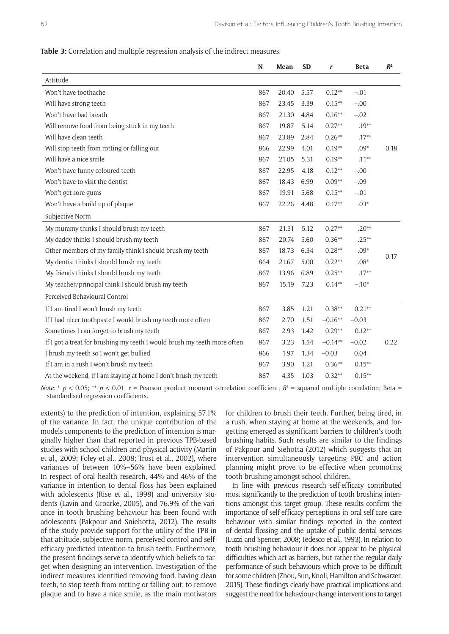**Table 3:** Correlation and multiple regression analysis of the indirect measures.

|                                                                          | N   | Mean  | <b>SD</b> | r         | <b>Beta</b> | $R^2$ |
|--------------------------------------------------------------------------|-----|-------|-----------|-----------|-------------|-------|
| Attitude                                                                 |     |       |           |           |             |       |
| Won't have toothache                                                     | 867 | 20.40 | 5.57      | $0.12**$  | $-.01$      |       |
| Will have strong teeth                                                   | 867 | 23.45 | 3.39      | $0.15***$ | $-.00$      |       |
| Won't have bad breath                                                    | 867 | 21.30 | 4.84      | $0.16**$  | $-.02$      |       |
| Will remove food from being stuck in my teeth                            | 867 | 19.87 | 5.14      | $0.27**$  | $.19**$     |       |
| Will have clean teeth                                                    | 867 | 23.89 | 2.84      | $0.26**$  | $.17**$     |       |
| Will stop teeth from rotting or falling out                              | 866 | 22.99 | 4.01      | $0.19**$  | $.09*$      | 0.18  |
| Will have a nice smile                                                   | 867 | 21.05 | 5.31      | $0.19**$  | $.11**$     |       |
| Won't have funny coloured teeth                                          | 867 | 22.95 | 4.18      | $0.12**$  | $-.00$      |       |
| Won't have to visit the dentist                                          | 867 | 18.43 | 6.99      | $0.09**$  | $-.09$      |       |
| Won't get sore gums                                                      | 867 | 19.91 | 5.68      | $0.15***$ | $-.01$      |       |
| Won't have a build up of plaque                                          | 867 | 22.26 | 4.48      | $0.17**$  | $.03*$      |       |
| Subjective Norm                                                          |     |       |           |           |             |       |
| My mummy thinks I should brush my teeth                                  | 867 | 21.31 | 5.12      | $0.27**$  | $.20**$     |       |
| My daddy thinks I should brush my teeth                                  | 867 | 20.74 | 5.60      | $0.36**$  | $.25***$    |       |
| Other members of my family think I should brush my teeth                 | 867 | 18.73 | 6.34      | $0.28**$  | $.09*$      | 0.17  |
| My dentist thinks I should brush my teeth                                | 864 | 21.67 | 5.00      | $0.22**$  | $.08*$      |       |
| My friends thinks I should brush my teeth                                | 867 | 13.96 | 6.89      | $0.25**$  | $.17**$     |       |
| My teacher/principal think I should brush my teeth                       | 867 | 15.19 | 7.23      | $0.14**$  | $-.10*$     |       |
| Perceived Behavioural Control                                            |     |       |           |           |             |       |
| If I am tired I won't brush my teeth                                     | 867 | 3.85  | 1.21      | $0.38**$  | $0.21**$    |       |
| If I had nicer toothpaste I would brush my teeth more often              | 867 | 2.70  | 1.51      | $-0.16**$ | $-0.03$     |       |
| Sometimes I can forget to brush my teeth                                 | 867 | 2.93  | 1.42      | $0.29**$  | $0.12**$    |       |
| If I got a treat for brushing my teeth I would brush my teeth more often | 867 | 3.23  | 1.54      | $-0.14**$ | $-0.02$     | 0.22  |
| I brush my teeth so I won't get bullied                                  | 866 | 1.97  | 1.34      | $-0.03$   | 0.04        |       |
| If I am in a rush I won't brush my teeth                                 | 867 | 3.90  | 1.21      | $0.36**$  | $0.15**$    |       |
| At the weekend, if I am staying at home I don't brush my teeth           | 867 | 4.35  | 1.03      | $0.32**$  | $0.15**$    |       |

*Note*: \*  $p < 0.05$ ; \*\*  $p < 0.01$ ;  $r =$  Pearson product moment correlation coefficient;  $R^2$  = squared multiple correlation; Beta = standardised regression coefficients.

extents) to the prediction of intention, explaining 57.1% of the variance. In fact, the unique contribution of the models components to the prediction of intention is marginally higher than that reported in previous TPB-based studies with school children and physical activity (Martin et al., 2009; Foley et al., 2008; Trost et al., 2002), where variances of between 10%–56% have been explained. In respect of oral health research, 44% and 46% of the variance in intention to dental floss has been explained with adolescents (Rise et al., 1998) and university students (Lavin and Groarke, 2005), and 76.9% of the variance in tooth brushing behaviour has been found with adolescents (Pakpour and Sniehotta, 2012). The results of the study provide support for the utility of the TPB in that attitude, subjective norm, perceived control and selfefficacy predicted intention to brush teeth. Furthermore, the present findings serve to identify which beliefs to target when designing an intervention. Investigation of the indirect measures identified removing food, having clean teeth, to stop teeth from rotting or falling out; to remove plaque and to have a nice smile, as the main motivators

for children to brush their teeth. Further, being tired, in a rush, when staying at home at the weekends, and forgetting emerged as significant barriers to children's tooth brushing habits. Such results are similar to the findings of Pakpour and Siehotta (2012) which suggests that an intervention simultaneously targeting PBC and action planning might prove to be effective when promoting tooth brushing amongst school children.

In line with previous research self-efficacy contributed most significantly to the prediction of tooth brushing intentions amongst this target group. These results confirm the importance of self-efficacy perceptions in oral self-care care behaviour with similar findings reported in the context of dental flossing and the uptake of public dental services (Luzzi and Spencer, 2008; Tedesco et al., 1993). In relation to tooth brushing behaviour it does not appear to be physical difficulties which act as barriers, but rather the regular daily performance of such behaviours which prove to be difficult for some children (Zhou, Sun, Knoll, Hamilton and Schwarzer, 2015). These findings clearly have practical implications and suggest the need for behaviour-change interventions to target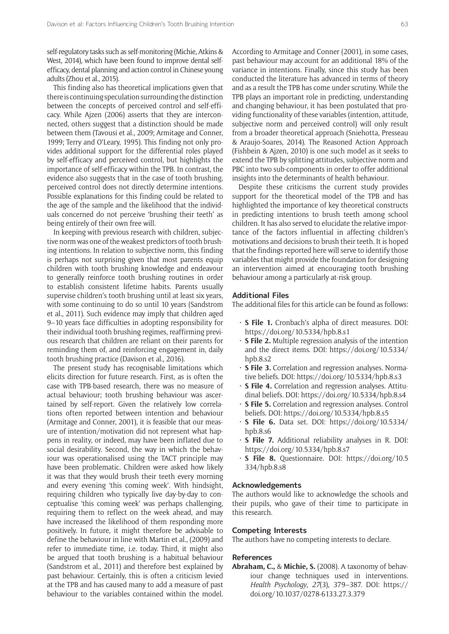self-regulatory tasks such as self-monitoring (Michie, Atkins & West, 2014), which have been found to improve dental selfefficacy, dental planning and action control in Chinese young adults (Zhou et al., 2015).

This finding also has theoretical implications given that there is continuing speculation surrounding the distinction between the concepts of perceived control and self-efficacy. While Ajzen (2006) asserts that they are interconnected, others suggest that a distinction should be made between them (Tavousi et al., 2009; Armitage and Conner, 1999; Terry and O'Leary, 1995). This finding not only provides additional support for the differential roles played by self-efficacy and perceived control, but highlights the importance of self-efficacy within the TPB. In contrast, the evidence also suggests that in the case of tooth brushing, perceived control does not directly determine intentions. Possible explanations for this finding could be related to the age of the sample and the likelihood that the individuals concerned do not perceive 'brushing their teeth' as being entirely of their own free will.

In keeping with previous research with children, subjective norm was one of the weakest predictors of tooth brushing intentions. In relation to subjective norm, this finding is perhaps not surprising given that most parents equip children with tooth brushing knowledge and endeavour to generally reinforce tooth brushing routines in order to establish consistent lifetime habits. Parents usually supervise children's tooth brushing until at least six years, with some continuing to do so until 10 years (Sandstrom et al., 2011). Such evidence may imply that children aged 9–10 years face difficulties in adopting responsibility for their individual tooth brushing regimes, reaffirming previous research that children are reliant on their parents for reminding them of, and reinforcing engagement in, daily tooth brushing practice (Davison et al., 2016).

The present study has recognisable limitations which elicits direction for future research. First, as is often the case with TPB-based research, there was no measure of actual behaviour; tooth brushing behaviour was ascertained by self-report. Given the relatively low correlations often reported between intention and behaviour (Armitage and Conner, 2001), it is feasible that our measure of intention/motivation did not represent what happens in reality, or indeed, may have been inflated due to social desirability. Second, the way in which the behaviour was operationalised using the TACT principle may have been problematic. Children were asked how likely it was that they would brush their teeth every morning and every evening 'this coming week'. With hindsight, requiring children who typically live day-by-day to conceptualise 'this coming week' was perhaps challenging, requiring them to reflect on the week ahead, and may have increased the likelihood of them responding more positively. In future, it might therefore be advisable to define the behaviour in line with Martin et al., (2009) and refer to immediate time, i.e. today. Third, it might also be argued that tooth brushing is a habitual behaviour (Sandstrom et al., 2011) and therefore best explained by past behaviour. Certainly, this is often a criticism levied at the TPB and has caused many to add a measure of past behaviour to the variables contained within the model.

According to Armitage and Conner (2001), in some cases, past behaviour may account for an additional 18% of the variance in intentions. Finally, since this study has been conducted the literature has advanced in terms of theory and as a result the TPB has come under scrutiny. While the TPB plays an important role in predicting, understanding and changing behaviour, it has been postulated that providing functionality of these variables (intention, attitude, subjective norm and perceived control) will only result from a broader theoretical approach (Sniehotta, Presseau & Araujo-Soares, 2014). The Reasoned Action Approach (Fishbein & Ajzen, 2010) is one such model as it seeks to extend the TPB by splitting attitudes, subjective norm and PBC into two sub-components in order to offer additional insights into the determinants of health behaviour.

Despite these criticisms the current study provides support for the theoretical model of the TPB and has highlighted the importance of key theoretical constructs in predicting intentions to brush teeth among school children. It has also served to elucidate the relative importance of the factors influential in affecting children's motivations and decisions to brush their teeth. It is hoped that the findings reported here will serve to identify those variables that might provide the foundation for designing an intervention aimed at encouraging tooth brushing behaviour among a particularly at-risk group.

# **Additional Files**

The additional files for this article can be found as follows:

- • **S File 1.** Cronbach's alpha of direct measures. DOI: <https://doi.org/10.5334/hpb.8.s1>
- • **S File 2.** Multiple regression analysis of the intention and the direct items. DOI: [https://doi.org/10.5334/](https://doi.org/10.5334/hpb.8.s2) [hpb.8.s2](https://doi.org/10.5334/hpb.8.s2)
- • **S File 3.** Correlation and regression analyses. Normative beliefs. DOI: <https://doi.org/10.5334/hpb.8.s3>
- • **S File 4.** Correlation and regression analyses. Attitudinal beliefs. DOI:<https://doi.org/10.5334/hpb.8.s4>
- • **S File 5.** Correlation and regression analyses. Control beliefs. DOI:<https://doi.org/10.5334/hpb.8.s5>
- • **S File 6.** Data set. DOI: [https://doi.org/10.5334/](https://doi.org/10.5334/hpb.8.s6) [hpb.8.s6](https://doi.org/10.5334/hpb.8.s6)
- • **S File 7.** Additional reliability analyses in R. DOI: <https://doi.org/10.5334/hpb.8.s7>
- • **S File 8.** Questionnaire. DOI: [https://doi.org/10.5](https://doi.org/10.5334/hpb.8.s8) [334/hpb.8.s8](https://doi.org/10.5334/hpb.8.s8)

# **Acknowledgements**

The authors would like to acknowledge the schools and their pupils, who gave of their time to participate in this research.

# **Competing Interests**

The authors have no competing interests to declare.

# **References**

**Abraham, C.,** & **Michie, S.** (2008). A taxonomy of behaviour change techniques used in interventions. *Health Psychology*, *27*(3), 379–387. DOI: [https://](https://doi.org/10.1037/0278-6133.27.3.379) [doi.org/10.1037/0278-6133.27.3.379](https://doi.org/10.1037/0278-6133.27.3.379)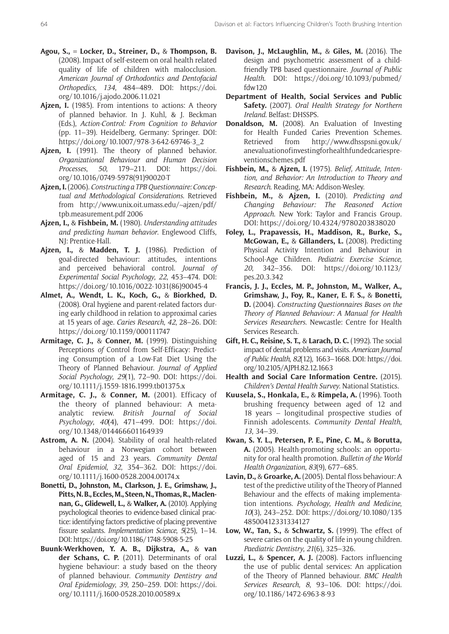- **Agou, S., = Locker, D., Streiner, D.,** & **Thompson, B.** (2008). Impact of self-esteem on oral health related quality of life of children with malocclusion. *American Journal of Orthodontics and Dentofacial Orthopedics*, *134*, 484–489. DOI: [https://doi.](https://doi.org/10.1016/j.ajodo.2006.11.021) [org/10.1016/j.ajodo.2006.11.021](https://doi.org/10.1016/j.ajodo.2006.11.021)
- **Ajzen, I.** (1985). From intentions to actions: A theory of planned behavior. In J. Kuhl, & J. Beckman (Eds.), *Action-Control: From Cognition to Behavior*  (pp. 11–39). Heidelberg, Germany: Springer. DOI: [https://doi.org/10.1007/978-3-642-69746-3\\_2](https://doi.org/10.1007/978-3-642-69746-3_2)
- **Ajzen, I.** (1991). The theory of planned behavior. *Organizational Behaviour and Human Decision Processes*, *50*, 179–211. DOI: [https://doi.](https://doi.org/10.1016/0749-5978(91)90020-T) [org/10.1016/0749-5978\(91\)90020-T](https://doi.org/10.1016/0749-5978(91)90020-T)
- **Ajzen, I.** (2006). *Constructing a TPB Questionnaire: Conceptual and Methodological Considerations*. Retrieved from [http://www.unix.oit.umass.edu/~ajzen/pdf/](http://www.unix.oit.umass.edu/~ajzen/pdf/tpb.measurement.pdf) [tpb.measurement.pdf](http://www.unix.oit.umass.edu/~ajzen/pdf/tpb.measurement.pdf) 2006
- **Ajzen, I.,** & **Fishbein, M.** (1980). *Understanding attitudes and predicting human behavior*. Englewood Cliffs, NJ: Prentice-Hall.
- **Ajzen, I.,** & **Madden, T. J.** (1986). Prediction of goal-directed behaviour: attitudes, intentions and perceived behavioral control. *Journal of Experimental Social Psychology*, *22*, 453–474. DOI: [https://doi.org/10.1016/0022-1031\(86\)90045-4](https://doi.org/10.1016/0022-1031(86)90045-4)
- **Almet, A., Wendt, L. K., Koch, G.,** & **Biorkhed, D.** (2008). Oral hygiene and parent-related factors during early childhood in relation to approximal caries at 15 years of age. *Caries Research*, *42*, 28–26. DOI: <https://doi.org/10.1159/000111747>
- **Armitage, C. J.,** & **Conner, M.** (1999). Distinguishing Perceptions *of* Control from Self-Efficacy: Predicting Consumption of a Low-Fat Diet Using the Theory of Planned Behaviour. *Journal of Applied Social Psychology*, *29*(1), 72–90. DOI: [https://doi.](https://doi.org/10.1111/j.1559-1816.1999.tb01375.x) [org/10.1111/j.1559-1816.1999.tb01375.x](https://doi.org/10.1111/j.1559-1816.1999.tb01375.x)
- **Armitage, C. J.,** & **Conner, M.** (2001). Efficacy of the theory of planned behaviour: A metaanalytic review. *British Journal of Social Psychology*, *40*(4), 471–499. DOI: [https://doi.](https://doi.org/10.1348/014466601164939) [org/10.1348/014466601164939](https://doi.org/10.1348/014466601164939)
- **Astrom, A. N.** (2004). Stability of oral health-related behaviour in a Norwegian cohort between aged of 15 and 23 years. *Community Dental Oral Epidemiol*, *32*, 354–362. DOI: [https://doi.](https://doi.org/10.1111/j.1600-0528.2004.00174.x) [org/10.1111/j.1600-0528.2004.00174.x](https://doi.org/10.1111/j.1600-0528.2004.00174.x)
- **Bonetti, D., Johnston, M., Clarkson, J. E., Grimshaw, J., Pitts, N. B., Eccles, M., Steen, N., Thomas, R., Maclennan, G., Glidewell, L.,** & **Walker, A.** (2010). Applying psychological theories to evidence-based clinical practice: identifying factors predictive of placing preventive fissure sealants. *Implementation Science*, *5*(25), 1–14. DOI:<https://doi.org/10.1186/1748-5908-5-25>
- **Buunk-Werkhoven, Y. A. B., Dijkstra, A.,** & **van der Schans, C. P.** (2011). Determinants of oral hygiene behaviour: a study based on the theory of planned behaviour. *Community Dentistry and Oral Epidemiology*, *39*, 250–259. DOI: [https://doi.](https://doi.org/10.1111/j.1600-0528.2010.00589.x) [org/10.1111/j.1600-0528.2010.00589.x](https://doi.org/10.1111/j.1600-0528.2010.00589.x)
- **Davison, J., McLaughlin, M.,** & **Giles, M.** (2016). The design and psychometric assessment of a childfriendly TPB based questionnaire. *Journal of Public Health*. DOI: [https://doi.org/10.1093/pubmed/](https://doi.org/10.1093/pubmed/fdw120) [fdw120](https://doi.org/10.1093/pubmed/fdw120)
- **Department of Health, Social Services and Public Safety.** (2007). *Oral Health Strategy for Northern Ireland*. Belfast: DHSSPS.
- **Donaldson, M.** (2008). An Evaluation of Investing for Health Funded Caries Prevention Schemes. Retrieved from [http://www.dhsspsni.gov.uk/](http://www.dhsspsni.gov.uk/anevaluationofinvestingforhealthfundedcariespreventionschemes.pdf) [anevaluationofinvestingforhealthfundedcariespre](http://www.dhsspsni.gov.uk/anevaluationofinvestingforhealthfundedcariespreventionschemes.pdf)[ventionschemes.pdf](http://www.dhsspsni.gov.uk/anevaluationofinvestingforhealthfundedcariespreventionschemes.pdf)
- **Fishbein, M.,** & **Ajzen, I.** (1975). *Belief, Attitude, Intention, and Behavior: An Introduction to Theory and Research*. Reading, MA: Addison-Wesley.
- **Fishbein, M.,** & **Ajzen, I.** (2010). *Predicting and Changing Behaviour: The Reasoned Action Approach*. New York: Taylor and Francis Group. DOI: <https://doi.org/10.4324/9780203838020>
- **Foley, L., Prapavessis, H., Maddison, R., Burke, S., McGowan, E.,** & **Gillanders, L.** (2008). Predicting Physical Activity Intention and Behaviour in School-Age Children. *Pediatric Exercise Science*, *20*, 342–356. DOI: [https://doi.org/10.1123/](https://doi.org/10.1123/pes.20.3.342) [pes.20.3.342](https://doi.org/10.1123/pes.20.3.342)
- **Francis, J. J., Eccles, M. P., Johnston, M., Walker, A., Grimshaw, J., Foy, R., Kaner, E. F. S.,** & **Bonetti, D.** (2004). *Constructing Questionnaires Bases on the Theory of Planned Behaviour: A Manual for Health Services Researchers*. Newcastle: Centre for Health Services Research.
- **Gift, H. C., Reisine, S. T.,** & **Larach, D. C.** (1992). The social impact of dental problems and visits. *American Journal of Public Health*, *82*(12), 1663–1668. DOI: [https://doi.](https://doi.org/10.2105/AJPH.82.12.1663) [org/10.2105/AJPH.82.12.1663](https://doi.org/10.2105/AJPH.82.12.1663)
- **Health and Social Care Information Centre.** (2015). *Children's Dental Health Survey*. National Statistics.
- **Kuusela, S., Honkala, E.,** & **Rimpela, A.** (1996). Tooth brushing frequency between aged of 12 and 18 years – longitudinal prospective studies of Finnish adolescents. *Community Dental Health*, *13*, 34–39.
- **Kwan, S. Y. L., Petersen, P. E., Pine, C. M.,** & **Borutta, A.** (2005). Health-promoting schools: an opportunity for oral health promotion. *Bulletin of the World Health Organization*, *83*(9), 677–685.
- **Lavin, D.,** & **Groarke, A.** (2005). Dental floss behaviour: A test of the predictive utility of the Theory of Planned Behaviour and the effects of making implementation intentions. *Psychology*, *Health and Medicine*, *10*(3), 243–252. DOI: [https://doi.org/10.1080/135](https://doi.org/10.1080/13548500412331334127) [48500412331334127](https://doi.org/10.1080/13548500412331334127)
- **Low, W., Tan, S.,** & **Schwartz, S.** (1999). The effect of severe caries on the quality of life in young children. *Paediatric Dentistry*, *21*(6), 325–326.
- **Luzzi, L.,** & **Spencer, A. J.** (2008). Factors influencing the use of public dental services: An application of the Theory of Planned behaviour. *BMC Health Services Research*, *8*, 93–106. DOI: [https://doi.](https://doi.org/10.1186/1472-6963-8-93) [org/10.1186/1472-6963-8-93](https://doi.org/10.1186/1472-6963-8-93)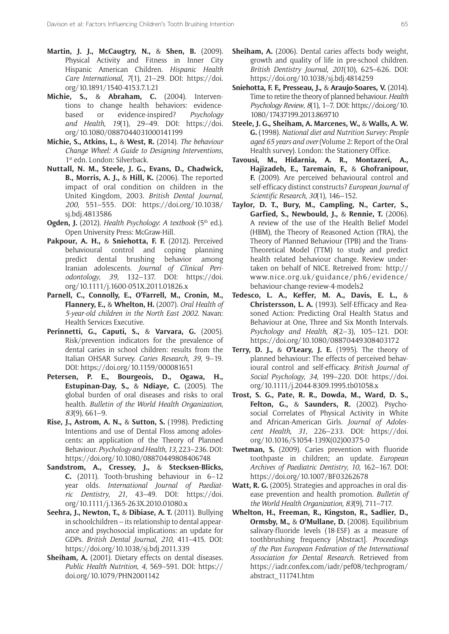- **Martin, J. J., McCaugtry, N.,** & **Shen, B.** (2009). Physical Activity and Fitness in Inner City Hispanic American Children. *Hispanic Health Care International*, *7*(1), 21–29. DOI: [https://doi.](https://doi.org/10.1891/1540-4153.7.1.21) [org/10.1891/1540-4153.7.1.21](https://doi.org/10.1891/1540-4153.7.1.21)
- **Michie, S.,** & **Abraham, C.** (2004). Interventions to change health behaviors: evidencebased or evidence-inspired? *Psychology and Health*, *19*(1), 29–49. DOI: [https://doi.](https://doi.org/10.1080/0887044031000141199) [org/10.1080/0887044031000141199](https://doi.org/10.1080/0887044031000141199)
- **Michie, S., Atkins, L.,** & **West, R.** (2014). *The behaviour Change Wheel: A Guide to Designing Interventions*, 1<sup>st</sup> edn. London: Silverback.
- **Nuttall, N. M., Steele, J. G., Evans, D., Chadwick, B., Morris, A. J.,** & **Hill, K.** (2006). The reported impact of oral condition on children in the United Kingdom, 2003. *British Dental Journal*, *200*, 551–555. DOI: [https://doi.org/10.1038/](https://doi.org/10.1038/sj.bdj.4813586) [sj.bdj.4813586](https://doi.org/10.1038/sj.bdj.4813586)
- **Ogden, J.** (2012). *Health Psychology: A textbook* (5<sup>th</sup> ed.). Open University Press: McGraw-Hill.
- **Pakpour, A. H.,** & **Sniehotta, F. F.** (2012). Perceived behavioural control and coping planning predict dental brushing behavior among Iranian adolescents. *Journal of Clinical Periodontology*, *39*, 132–137. DOI: [https://doi.](https://doi.org/10.1111/j.1600-051X.2011.01826.x) [org/10.1111/j.1600-051X.2011.01826.x](https://doi.org/10.1111/j.1600-051X.2011.01826.x)
- **Parnell, C., Connolly, E., O'Farrell, M., Cronin, M., Flannery, E.,** & **Whelton, H.** (2007). *Oral Health of 5-year-old children in the North East 2002*. Navan: Health Services Executive.
- **Perinnetti, G., Caputi, S.,** & **Varvara, G.** (2005). Risk/prevention indicators for the prevalence of dental caries in school children: results from the Italian OHSAR Survey. *Caries Research*, *39*, 9–19. DOI:<https://doi.org/10.1159/000081651>
- **Petersen, P. E., Bourgeois, D., Ogawa, H., Estupinan-Day, S.,** & **Ndiaye, C.** (2005). The global burden of oral diseases and risks to oral health. *Bulletin of the World Health Organization*, *83*(9), 661–9.
- **Rise, J., Astrom, A. N.,** & **Sutton, S.** (1998). Predicting Intentions and use of Dental Floss among adolescents: an application of the Theory of Planned Behaviour. *Psychology and Health*, *13*, 223–236. DOI: <https://doi.org/10.1080/08870449808406748>
- **Sandstrom, A., Cressey, J.,** & **Stecksen-Blicks, C.** (2011). Tooth-brushing behaviour in 6–12 year olds. *International Journal of Paediatric Dentistry*, *21*, 43–49. DOI: [https://doi.](https://doi.org/10.1111/j.1365-263X.2010.01080.x) [org/10.1111/j.1365-263X.2010.01080.x](https://doi.org/10.1111/j.1365-263X.2010.01080.x)
- **Seehra, J., Newton, T.,** & **Dibiase, A. T.** (2011). Bullying in schoolchildren – its relationship to dental appearance and psychosocial implications: an update for GDPs. *British Dental Journal*, *210*, 411–415. DOI: <https://doi.org/10.1038/sj.bdj.2011.339>
- **Sheiham, A.** (2001). Dietary effects on dental diseases. *Public Health Nutrition*, *4*, 569–591. DOI: [https://](https://doi.org/10.1079/PHN2001142) [doi.org/10.1079/PHN2001142](https://doi.org/10.1079/PHN2001142)
- **Sheiham, A.** (2006). Dental caries affects body weight, growth and quality of life in pre-school children. *British Dentistry Journal*, *201*(10), 625–626. DOI: <https://doi.org/10.1038/sj.bdj.4814259>
- **Sniehotta, F. F., Presseau, J.,** & **Araujo-Soares, V.** (2014). Time to retire the theory of planned behaviour. *Health Psychology Review*, *8*(1), 1–7. DOI: [https://doi.org/10.](https://doi.org/10.1080/17437199.2013.869710) [1080/17437199.2013.869710](https://doi.org/10.1080/17437199.2013.869710)
- **Steele, J. G., Sheiham, A. Marcenes, W.,** & **Walls, A. W. G.** (1998). *National diet and Nutrition Survey: People aged 65 years and over* (Volume 2: Report of the Oral Health survey). London: the Stationery Office.
- **Tavousi, M., Hidarnia, A. R., Montazeri, A., Hajizadeh, E., Taremain, F.,** & **Ghofranipour, F.** (2009). Are perceived behavioural control and self-efficacy distinct constructs? *European Journal of Scientific Research*, *30*(1), 146–152.
- **Taylor, D. T., Bury, M., Campling, N., Carter, S., Garfied, S., Newbould, J.,** & **Rennie, T.** (2006). A review of the use of the Health Belief Model (HBM), the Theory of Reasoned Action (TRA), the Theory of Planned Behaviour (TPB) and the Trans-Theoretical Model (TTM) to study and predict health related behaviour change. Review undertaken on behalf of NICE. Retreived from: [http://](http://www.nice.org.uk/guidance/ph6/evidence/behaviour-change-review-4-models2) [www.nice.org.uk/guidance/ph6/evidence/](http://www.nice.org.uk/guidance/ph6/evidence/behaviour-change-review-4-models2) [behaviour-change-review-4-models2](http://www.nice.org.uk/guidance/ph6/evidence/behaviour-change-review-4-models2)
- **Tedesco, L. A., Keffer, M. A., Davis, E. L.,** & **Christersson, L. A.** (1993). Self-Efficacy and Reasoned Action: Predicting Oral Health Status and Behaviour at One, Three and Six Month Intervals. *Psychology and Health*, *8*(2–3), 105–121. DOI: <https://doi.org/10.1080/08870449308403172>
- **Terry, D. J.,** & **O'Leary, J. E.** (1995). The theory of planned behaviour: The effects of perceived behavioural control and self-efficacy. *British Journal of Social Psychology*, *34*, 199–220. DOI: [https://doi.](https://doi.org/10.1111/j.2044-8309.1995.tb01058.x) [org/10.1111/j.2044-8309.1995.tb01058.x](https://doi.org/10.1111/j.2044-8309.1995.tb01058.x)
- **Trost, S. G., Pate, R. R., Dowda, M., Ward, D. S., Felton, G.,** & **Saunders, R.** (2002). Psychosocial Correlates of Physical Activity in White and African-American Girls. *Journal of Adolescent Health*, *31*, 226–233. DOI: [https://doi.](https://doi.org/10.1016/S1054-139X(02)00375-0) [org/10.1016/S1054-139X\(02\)00375-0](https://doi.org/10.1016/S1054-139X(02)00375-0)
- **Twetman, S.** (2009). Caries prevention with fluoride toothpaste in children; an update. *European Archives of Paediatric Dentistry*, *10*, 162–167. DOI: <https://doi.org/10.1007/BF03262678>
- **Watt, R. G.** (2005). Strategies and approaches in oral disease prevention and health promotion. *Bulletin of the World Health Organization*, *83*(9), 711–717.
- **Whelton, H., Freeman, R., Kingston, R., Sadlier, D., Ormsby, M.,** & **O'Mullane, D.** (2008). Equilibrium salivary-fluoride levels (18-ESF) as a measure of toothbrushing frequency [Abstract]. *Proceedings of the Pan European Federation of the International Association for Dental Research*. Retrieved from [https://iadr.confex.com/iadr/pef08/techprogram/](https://iadr.confex.com/iadr/pef08/techprogram/abstract_111741.htm) [abstract\\_111741.htm](https://iadr.confex.com/iadr/pef08/techprogram/abstract_111741.htm)